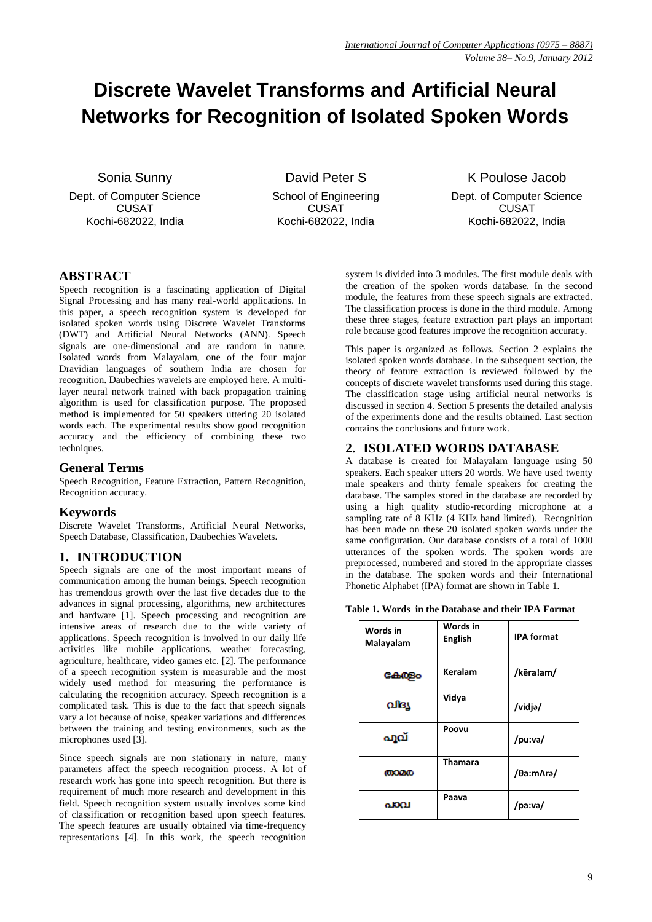# **Discrete Wavelet Transforms and Artificial Neural Networks for Recognition of Isolated Spoken Words**

Sonia Sunny

Dept. of Computer Science CUSAT Kochi-682022, India

David Peter S School of Engineering CUSAT Kochi-682022, India

K Poulose Jacob Dept. of Computer Science CUSAT Kochi-682022, India

## **ABSTRACT**

Speech recognition is a fascinating application of Digital Signal Processing and has many real-world applications. In this paper, a speech recognition system is developed for isolated spoken words using Discrete Wavelet Transforms (DWT) and Artificial Neural Networks (ANN). Speech signals are one-dimensional and are random in nature. Isolated words from Malayalam, one of the four major Dravidian languages of southern India are chosen for recognition. Daubechies wavelets are employed here. A multilayer neural network trained with back propagation training algorithm is used for classification purpose. The proposed method is implemented for 50 speakers uttering 20 isolated words each. The experimental results show good recognition accuracy and the efficiency of combining these two techniques.

## **General Terms**

Speech Recognition, Feature Extraction, Pattern Recognition, Recognition accuracy.

## **Keywords**

Discrete Wavelet Transforms, Artificial Neural Networks, Speech Database, Classification, Daubechies Wavelets.

# **1. INTRODUCTION**

Speech signals are one of the most important means of communication among the human beings. Speech recognition has tremendous growth over the last five decades due to the advances in signal processing, algorithms, new architectures and hardware [1]. Speech processing and recognition are intensive areas of research due to the wide variety of applications. Speech recognition is involved in our daily life activities like mobile applications, weather forecasting, agriculture, healthcare, video games etc. [2]. The performance of a speech recognition system is measurable and the most widely used method for measuring the performance is calculating the recognition accuracy. Speech recognition is a complicated task. This is due to the fact that speech signals vary a lot because of noise, speaker variations and differences between the training and testing environments, such as the microphones used [3].

Since speech signals are non stationary in nature, many parameters affect the speech recognition process. A lot of research work has gone into speech recognition. But there is requirement of much more research and development in this field. Speech recognition system usually involves some kind of classification or recognition based upon speech features. The speech features are usually obtained via time-frequency representations [4]. In this work, the speech recognition

system is divided into 3 modules. The first module deals with the creation of the spoken words database. In the second module, the features from these speech signals are extracted. The classification process is done in the third module. Among these three stages, feature extraction part plays an important role because good features improve the recognition accuracy.

This paper is organized as follows. Section 2 explains the isolated spoken words database. In the subsequent section, the theory of feature extraction is reviewed followed by the concepts of discrete wavelet transforms used during this stage. The classification stage using artificial neural networks is discussed in section 4. Section 5 presents the detailed analysis of the experiments done and the results obtained. Last section contains the conclusions and future work.

## **2. ISOLATED WORDS DATABASE**

A database is created for Malayalam language using 50 speakers. Each speaker utters 20 words. We have used twenty male speakers and thirty female speakers for creating the database. The samples stored in the database are recorded by using a high quality studio-recording microphone at a sampling rate of 8 KHz (4 KHz band limited). Recognition has been made on these 20 isolated spoken words under the same configuration. Our database consists of a total of 1000 utterances of the spoken words. The spoken words are preprocessed, numbered and stored in the appropriate classes in the database. The spoken words and their International Phonetic Alphabet (IPA) format are shown in Table 1.

**Table 1. Words in the Database and their IPA Format**

| Words in<br>Malayalam | Words in<br><b>English</b> | <b>IPA format</b> |  |
|-----------------------|----------------------------|-------------------|--|
| Geb@Bo                | Keralam                    | /kēra!am/         |  |
| ofisy                 | Vidya                      | /vidjə/           |  |
| ഫുവ്                  | Poovu                      | /pu:və/           |  |
| താമര                  | <b>Thamara</b>             | /θa:mΛra/         |  |
| പാവ                   | Paava                      | /pa:və/           |  |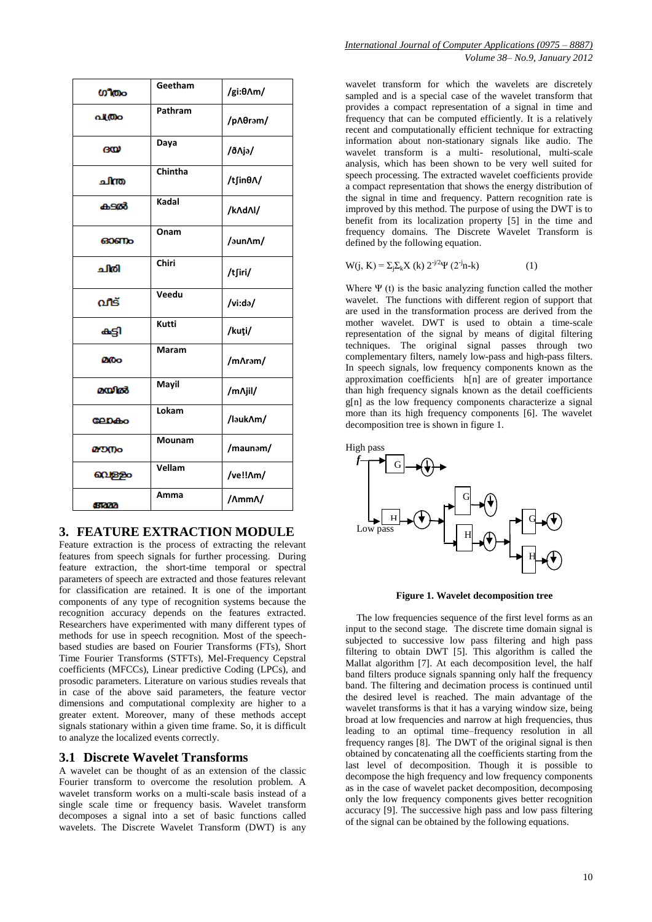| ഗീതം                     | Geetham | /gi: $\theta \Lambda m/$ |
|--------------------------|---------|--------------------------|
| പ്ത്രം                   | Pathram | /pΛθram/                 |
| ദയ                       | Daya    | /ð Aja/                  |
| ചിന്ത                    | Chintha | /tʃinθA/                 |
| കടൽ                      | Kadal   | /k/d/l/                  |
| ഓണം                      | Onam    | /aun/m/                  |
| ചിരി                     | Chiri   | /tʃiri/                  |
| വീട്                     | Veedu   | /vi:də/                  |
| കട്ടി                    | Kutti   | /kuti/                   |
| മരം                      | Maram   | /m/\ram/                 |
| മയിൽ                     | Mayil   | /m/iil/                  |
| <b>GADA</b> <sub>0</sub> | Lokam   | /lauk/m/                 |
| മൗനം                     | Mounam  | /maunam/                 |
| വെള്ളം                   | Vellam  | /ve!!Am/                 |
| aram                     | Amma    | /AmmA/                   |

## **3. FEATURE EXTRACTION MODULE**

Feature extraction is the process of extracting the relevant features from speech signals for further processing. During feature extraction, the short-time temporal or spectral parameters of speech are extracted and those features relevant for classification are retained. It is one of the important components of any type of recognition systems because the recognition accuracy depends on the features extracted. Researchers have experimented with many different types of methods for use in speech recognition. Most of the speechbased studies are based on Fourier Transforms (FTs), Short Time Fourier Transforms (STFTs), Mel-Frequency Cepstral coefficients (MFCCs), Linear predictive Coding (LPCs), and prosodic parameters. Literature on various studies reveals that in case of the above said parameters, the feature vector dimensions and computational complexity are higher to a greater extent. Moreover, many of these methods accept signals stationary within a given time frame. So, it is difficult to analyze the localized events correctly.

#### **3.1 Discrete Wavelet Transforms**

A wavelet can be thought of as an extension of the classic Fourier transform to overcome the resolution problem. A wavelet transform works on a multi-scale basis instead of a single scale time or frequency basis. Wavelet transform decomposes a signal into a set of basic functions called wavelets. The Discrete Wavelet Transform (DWT) is any

[wavelet transform](http://en.wikipedia.org/wiki/Wavelet_transform) for which the [wavelets](http://en.wikipedia.org/wiki/Wavelet) are discretely sampled and is a special case of the wavelet transform that provides a compact representation of a signal in time and frequency that can be computed efficiently. It is a relatively recent and computationally efficient technique for extracting information about non-stationary signals like audio. The wavelet transform is a multi- resolutional, multi-scale analysis, which has been shown to be very well suited for speech processing. The extracted wavelet coefficients provide a compact representation that shows the energy distribution of the signal in time and frequency. Pattern recognition rate is improved by this method. The purpose of using the DWT is to benefit from its localization property [5] in the time and frequency domains. The Discrete Wavelet Transform is defined by the following equation.

$$
W(j, K) = \sum_{j} \sum_{k} X(k) 2^{-j/2} \Psi(2^{-j}n - k)
$$
 (1)

Where  $\Psi$  (t) is the basic analyzing function called the mother wavelet. The functions with different region of support that are used in the transformation process are derived from the mother wavelet. DWT is used to obtain a time-scale representation of the signal by means of digital filtering techniques. The original signal passes through two complementary filters, namely low-pass and high-pass filters. In speech signals, low frequency components known as the approximation coefficients h[n] are of greater importance than high frequency signals known as the detail coefficients  $g[n]$  as the low frequency components characterize a signal more than its high frequency components [6]. The wavelet decomposition tree is shown in figure 1.



**Figure 1. Wavelet decomposition tree**

The low frequencies sequence of the first level forms as an input to the second stage. The discrete time domain signal is subjected to successive low pass filtering and high pass filtering to obtain DWT [5]. This algorithm is called the Mallat algorithm [7]. At each decomposition level, the half band filters produce signals spanning only half the frequency band. The filtering and decimation process is continued until the desired level is reached. The main advantage of the wavelet transforms is that it has a varying window size, being broad at low frequencies and narrow at high frequencies, thus leading to an optimal time–frequency resolution in all frequency ranges [8]. The DWT of the original signal is then obtained by concatenating all the coefficients starting from the last level of decomposition. Though it is possible to decompose the high frequency and low frequency components as in the case of wavelet packet decomposition, decomposing only the low frequency components gives better recognition accuracy [9]. The successive high pass and low pass filtering of the signal can be obtained by the following equations.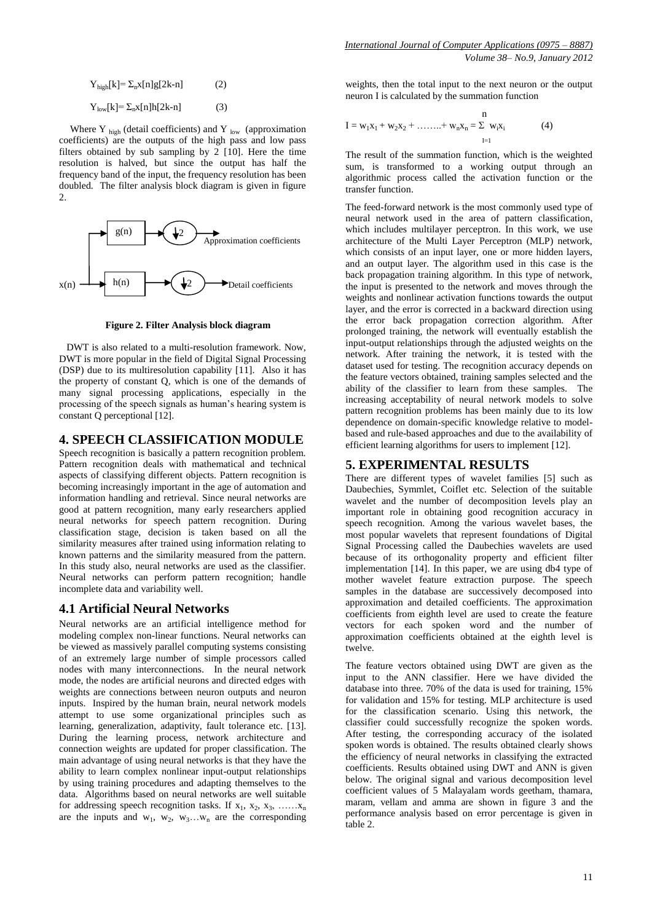$Y_{\text{high}}[k] = \sum_{n} X[n]g[2k-n]$  (2)  $Y_{\text{low}}[k] = \sum_{n} X[n]h[2k-n]$  (3)

Where Y  $_{\text{high}}$  (detail coefficients) and Y  $_{\text{low}}$  (approximation coefficients) are the outputs of the high pass and low pass filters obtained by sub sampling by 2 [10]. Here the time resolution is halved, but since the output has half the frequency band of the input, the frequency resolution has been doubled. The filter analysis block diagram is given in figure 2.



**Figure 2. Filter Analysis block diagram**

 DWT is also related to a multi-resolution framework. Now, DWT is more popular in the field of Digital Signal Processing (DSP) due to its multiresolution capability [11]. Also it has the property of constant Q, which is one of the demands of many signal processing applications, especially in the processing of the speech signals as human's hearing system is constant Q perceptional [12].

## **4. SPEECH CLASSIFICATION MODULE**

Speech recognition is basically a pattern recognition problem. Pattern recognition deals with mathematical and technical aspects of classifying different objects. Pattern recognition is becoming increasingly important in the age of automation and information handling and retrieval. Since neural networks are good at pattern recognition, many early researchers applied neural networks for speech pattern recognition. During classification stage, decision is taken based on all the similarity measures after trained using information relating to known patterns and the similarity measured from the pattern. In this study also, neural networks are used as the classifier. Neural networks can perform pattern recognition; handle incomplete data and variability well.

# **4.1 Artificial Neural Networks**

Neural networks are an artificial intelligence method for modeling complex non-linear functions. Neural networks can be viewed as massively parallel computing systems consisting of an extremely large number of simple processors called nodes with many interconnections. In the neural network mode, the nodes are artificial neurons and directed edges with weights are connections between neuron outputs and neuron inputs. Inspired by the human brain, neural network models attempt to use some organizational principles such as learning, generalization, adaptivity, fault tolerance etc. [13]. During the learning process, network architecture and connection weights are updated for proper classification. The main advantage of using neural networks is that they have the ability to learn complex nonlinear input-output relationships by using training procedures and adapting themselves to the data. Algorithms based on neural networks are well suitable for addressing speech recognition tasks. If  $x_1, x_2, x_3, \ldots, x_n$ are the inputs and  $w_1$ ,  $w_2$ ,  $w_3...w_n$  are the corresponding weights, then the total input to the next neuron or the output neuron I is calculated by the summation function

$$
I = w_1 x_1 + w_2 x_2 + \dots + w_n x_n = \sum_{I=1}^{n} w_i x_i
$$
 (4)

The result of the summation function, which is the weighted sum, is transformed to a working output through an algorithmic process called the activation function or the transfer function.

The feed-forward network is the most commonly used type of neural network used in the area of pattern classification, which includes multilayer perceptron. In this work, we use architecture of the Multi Layer Perceptron (MLP) network, which consists of an input layer, one or more hidden layers, and an output layer. The algorithm used in this case is the back propagation training algorithm. In this type of network, the input is presented to the network and moves through the weights and nonlinear activation functions towards the output layer, and the error is corrected in a backward direction using the error back propagation correction algorithm. After prolonged training, the network will eventually establish the input-output relationships through the adjusted weights on the network. After training the network, it is tested with the dataset used for testing. The recognition accuracy depends on the feature vectors obtained, training samples selected and the ability of the classifier to learn from these samples. The increasing acceptability of neural network models to solve pattern recognition problems has been mainly due to its low dependence on domain-specific knowledge relative to modelbased and rule-based approaches and due to the availability of efficient learning algorithms for users to implement [12].

## **5. EXPERIMENTAL RESULTS**

There are different types of wavelet families [5] such as Daubechies, Symmlet, Coiflet etc. Selection of the suitable wavelet and the number of decomposition levels play an important role in obtaining good recognition accuracy in speech recognition. Among the various wavelet bases, the most popular wavelets that represent foundations of Digital Signal Processing called the Daubechies wavelets are used because of its orthogonality property and efficient filter implementation [14]. In this paper, we are using db4 type of mother wavelet feature extraction purpose. The speech samples in the database are successively decomposed into approximation and detailed coefficients. The approximation coefficients from eighth level are used to create the feature vectors for each spoken word and the number of approximation coefficients obtained at the eighth level is twelve.

The feature vectors obtained using DWT are given as the input to the ANN classifier. Here we have divided the database into three. 70% of the data is used for training, 15% for validation and 15% for testing. MLP architecture is used for the classification scenario. Using this network, the classifier could successfully recognize the spoken words. After testing, the corresponding accuracy of the isolated spoken words is obtained. The results obtained clearly shows the efficiency of neural networks in classifying the extracted coefficients. Results obtained using DWT and ANN is given below. The original signal and various decomposition level coefficient values of 5 Malayalam words geetham, thamara, maram, vellam and amma are shown in figure 3 and the performance analysis based on error percentage is given in table 2.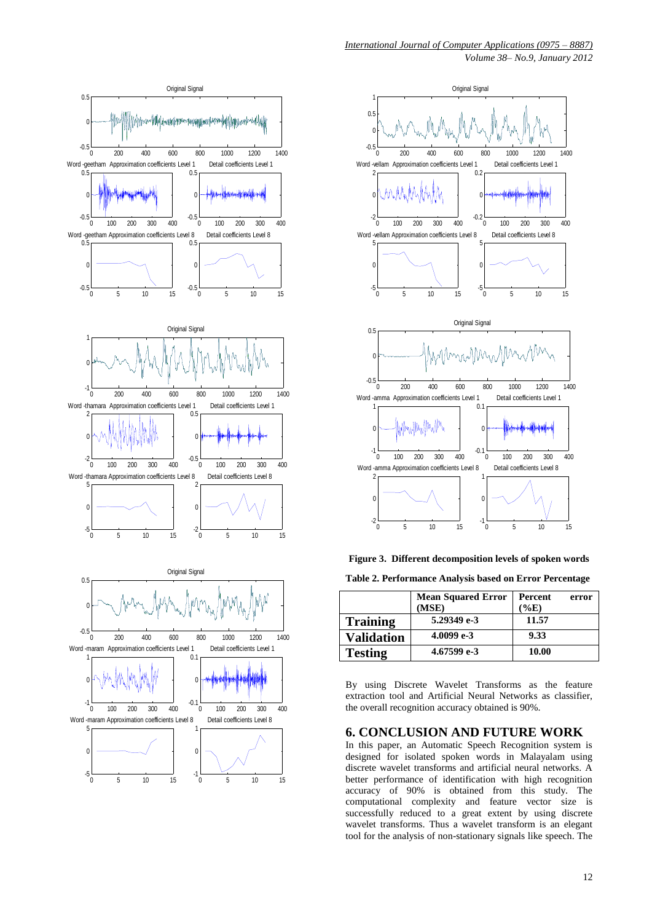



**Figure 3. Different decomposition levels of spoken words**

**Table 2. Performance Analysis based on Error Percentage**

|                | <b>Mean Squared Error</b><br>(MSE) | Percent<br>(%E) | error |
|----------------|------------------------------------|-----------------|-------|
| Training       | 5.29349 e-3                        | 11.57           |       |
| Validation     | 4.0099 e-3                         | 9.33            |       |
| <b>Testing</b> | 4.67599 e-3                        | 10.00           |       |

By using Discrete Wavelet Transforms as the feature extraction tool and Artificial Neural Networks as classifier, the overall recognition accuracy obtained is 90%.

## **6. CONCLUSION AND FUTURE WORK**

In this paper, an Automatic Speech Recognition system is designed for isolated spoken words in Malayalam using discrete wavelet transforms and artificial neural networks. A better performance of identification with high recognition accuracy of 90% is obtained from this study. The computational complexity and feature vector size is successfully reduced to a great extent by using discrete wavelet transforms. Thus a wavelet transform is an elegant tool for the analysis of non-stationary signals like speech. The